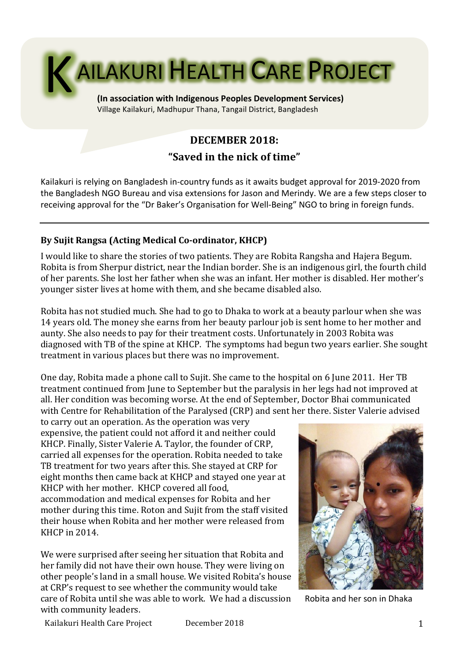

**(In association with Indigenous Peoples Development Services)** Village Kailakuri, Madhupur Thana, Tangail District, Bangladesh

# **DECEMBER 2018:**

# **"Saved in the nick of time"**

Kailakuri is relying on Bangladesh in-country funds as it awaits budget approval for 2019-2020 from the Bangladesh NGO Bureau and visa extensions for Jason and Merindy. We are a few steps closer to receiving approval for the "Dr Baker's Organisation for Well-Being" NGO to bring in foreign funds.

## By Sujit Rangsa (Acting Medical Co-ordinator, KHCP)

I would like to share the stories of two patients. They are Robita Rangsha and Hajera Begum. Robita is from Sherpur district, near the Indian border. She is an indigenous girl, the fourth child of her parents. She lost her father when she was an infant. Her mother is disabled. Her mother's younger sister lives at home with them, and she became disabled also.

Robita has not studied much. She had to go to Dhaka to work at a beauty parlour when she was 14 years old. The money she earns from her beauty parlour job is sent home to her mother and aunty. She also needs to pay for their treatment costs. Unfortunately in 2003 Robita was diagnosed with TB of the spine at KHCP. The symptoms had begun two years earlier. She sought treatment in various places but there was no improvement.

One day, Robita made a phone call to Sujit. She came to the hospital on 6 June 2011. Her TB treatment continued from June to September but the paralysis in her legs had not improved at all. Her condition was becoming worse. At the end of September, Doctor Bhai communicated with Centre for Rehabilitation of the Paralysed (CRP) and sent her there. Sister Valerie advised

to carry out an operation. As the operation was very expensive, the patient could not afford it and neither could KHCP. Finally, Sister Valerie A. Taylor, the founder of CRP, carried all expenses for the operation. Robita needed to take TB treatment for two years after this. She stayed at CRP for eight months then came back at KHCP and stayed one year at KHCP with her mother. KHCP covered all food. accommodation and medical expenses for Robita and her mother during this time. Roton and Sujit from the staff visited their house when Robita and her mother were released from KHCP in 2014.

We were surprised after seeing her situation that Robita and her family did not have their own house. They were living on other people's land in a small house. We visited Robita's house at CRP's request to see whether the community would take care of Robita until she was able to work. We had a discussion with community leaders.



Robita and her son in Dhaka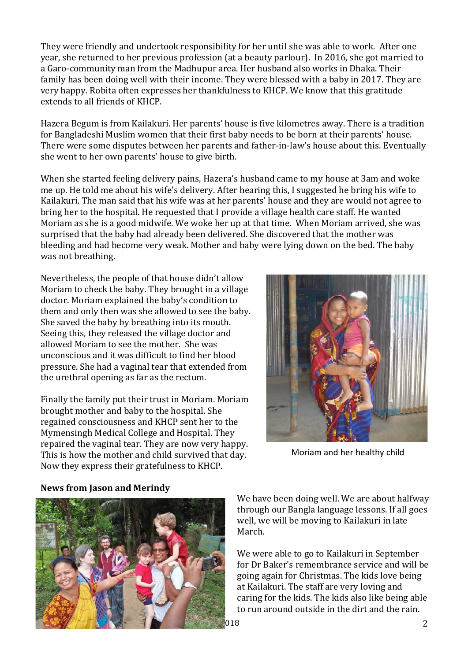They were friendly and undertook responsibility for her until she was able to work. After one year, she returned to her previous profession (at a beauty parlour). In 2016, she got married to a Garo-community man from the Madhupur area. Her husband also works in Dhaka. Their family has been doing well with their income. They were blessed with a baby in 2017. They are very happy. Robita often expresses her thankfulness to KHCP. We know that this gratitude extends to all friends of KHCP.

Hazera Begum is from Kailakuri. Her parents' house is five kilometres away. There is a tradition for Bangladeshi Muslim women that their first baby needs to be born at their parents' house. There were some disputes between her parents and father-in-law's house about this. Eventually she went to her own parents' house to give birth.

When she started feeling delivery pains, Hazera's husband came to my house at 3am and woke me up. He told me about his wife's delivery. After hearing this, I suggested he bring his wife to Kailakuri. The man said that his wife was at her parents' house and they are would not agree to bring her to the hospital. He requested that I provide a village health care staff. He wanted Moriam as she is a good midwife. We woke her up at that time. When Moriam arrived, she was surprised that the baby had already been delivered. She discovered that the mother was bleeding and had become very weak. Mother and baby were lying down on the bed. The baby was not breathing.

Nevertheless, the people of that house didn't allow Moriam to check the baby. They brought in a village doctor. Moriam explained the baby's condition to them and only then was she allowed to see the baby. She saved the baby by breathing into its mouth. Seeing this, they released the village doctor and allowed Moriam to see the mother. She was unconscious and it was difficult to find her blood pressure. She had a vaginal tear that extended from the urethral opening as far as the rectum.

Finally the family put their trust in Moriam. Moriam brought mother and baby to the hospital. She regained consciousness and KHCP sent her to the Mymensingh Medical College and Hospital. They repaired the vaginal tear. They are now very happy. This is how the mother and child survived that day. Now they express their gratefulness to KHCP.



Moriam and her healthy child



#### **News from Jason and Merindy**

We have been doing well. We are about halfway through our Bangla language lessons. If all goes well, we will be moving to Kailakuri in late March. 

We were able to go to Kailakuri in September for Dr Baker's remembrance service and will be going again for Christmas. The kids love being at Kailakuri. The staff are very loving and caring for the kids. The kids also like being able to run around outside in the dirt and the rain.